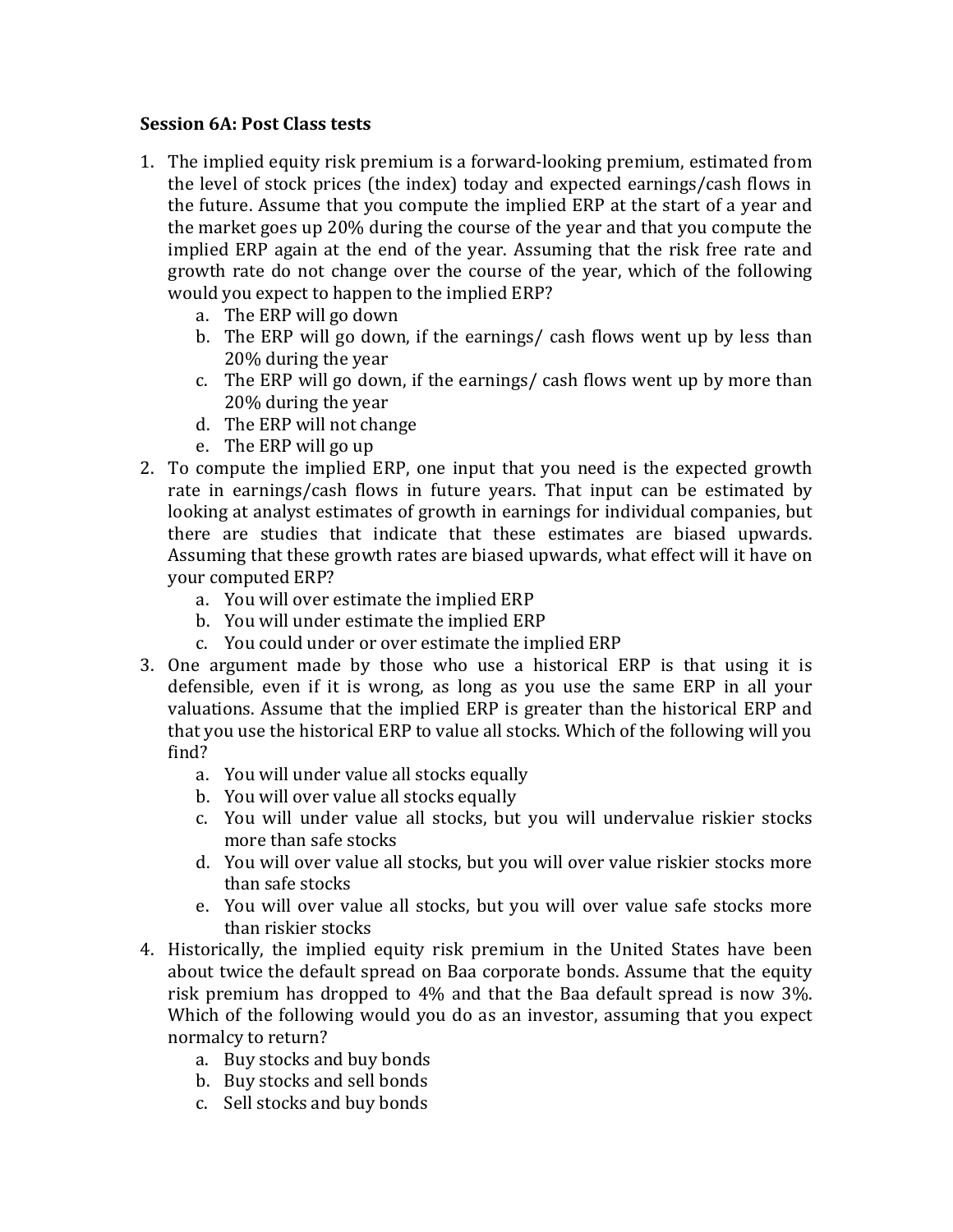## **Session 6A: Post Class tests**

- 1. The implied equity risk premium is a forward-looking premium, estimated from the level of stock prices (the index) today and expected earnings/cash flows in the future. Assume that you compute the implied ERP at the start of a year and the market goes up 20% during the course of the year and that you compute the implied ERP again at the end of the year. Assuming that the risk free rate and growth rate do not change over the course of the year, which of the following would you expect to happen to the implied ERP?
	- a. The ERP will go down
	- b. The ERP will go down, if the earnings/ cash flows went up by less than 20% during the year
	- c. The ERP will go down, if the earnings/ cash flows went up by more than 20% during the year
	- d. The ERP will not change
	- e. The ERP will go up
- 2. To compute the implied ERP, one input that you need is the expected growth rate in earnings/cash flows in future years. That input can be estimated by looking at analyst estimates of growth in earnings for individual companies, but there are studies that indicate that these estimates are biased upwards. Assuming that these growth rates are biased upwards, what effect will it have on your computed ERP?
	- a. You will over estimate the implied ERP
	- b. You will under estimate the implied ERP
	- c. You could under or over estimate the implied ERP
- 3. One argument made by those who use a historical ERP is that using it is defensible, even if it is wrong, as long as you use the same ERP in all your valuations. Assume that the implied ERP is greater than the historical ERP and that you use the historical ERP to value all stocks. Which of the following will you find?
	- a. You will under value all stocks equally
	- b. You will over value all stocks equally
	- c. You will under value all stocks, but you will undervalue riskier stocks more than safe stocks
	- d. You will over value all stocks, but you will over value riskier stocks more than safe stocks
	- e. You will over value all stocks, but you will over value safe stocks more than riskier stocks
- 4. Historically, the implied equity risk premium in the United States have been about twice the default spread on Baa corporate bonds. Assume that the equity risk premium has dropped to  $4\%$  and that the Baa default spread is now 3%. Which of the following would you do as an investor, assuming that you expect normalcy to return?
	- a. Buy stocks and buy bonds
	- b. Buy stocks and sell bonds
	- c. Sell stocks and buy bonds